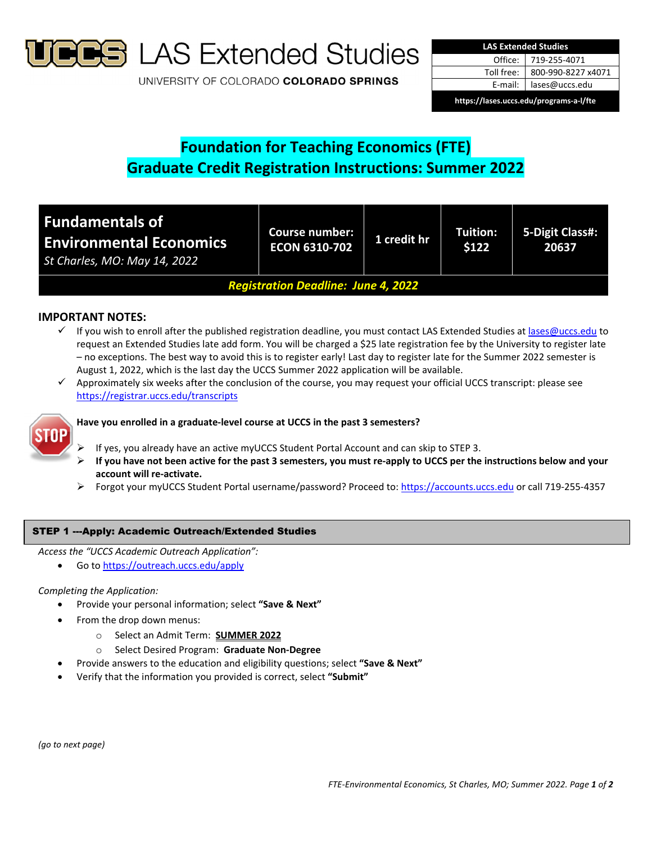

**S** LAS Extended Studies

UNIVERSITY OF COLORADO COLORADO SPRINGS

| <b>LAS Extended Studies</b>             |                    |  |  |  |
|-----------------------------------------|--------------------|--|--|--|
| Office:                                 | 719-255-4071       |  |  |  |
| Toll free:                              | 800-990-8227 x4071 |  |  |  |
| E-mail:                                 | lases@uccs.edu     |  |  |  |
| https://lases.uccs.edu/programs-a-l/fte |                    |  |  |  |

# **Foundation for Teaching Economics (FTE) Graduate Credit Registration Instructions: Summer 2022**

| <b>Fundamentals of</b><br><b>Environmental Economics</b><br>St Charles, MO: May 14, 2022 | <b>Course number:</b><br><b>ECON 6310-702</b> | 1 credit hr | Tuition:<br>\$122 | 5-Digit Class#:<br>20637 |  |
|------------------------------------------------------------------------------------------|-----------------------------------------------|-------------|-------------------|--------------------------|--|
| <b>Registration Deadline: June 4, 2022</b>                                               |                                               |             |                   |                          |  |

# **IMPORTANT NOTES:**

- $\checkmark$  If you wish to enroll after the published registration deadline, you must contact LAS Extended Studies at lases@uccs.edu to request an Extended Studies late add form. You will be charged a \$25 late registration fee by the University to register late – no exceptions. The best way to avoid this is to register early! Last day to register late for the Summer 2022 semester is August 1, 2022, which is the last day the UCCS Summer 2022 application will be available.
- $\checkmark$  Approximately six weeks after the conclusion of the course, you may request your official UCCS transcript: please see https://registrar.uccs.edu/transcripts



## **Have you enrolled in a graduate‐level course at UCCS in the past 3 semesters?**

- If yes, you already have an active myUCCS Student Portal Account and can skip to STEP 3.
- If you have not been active for the past 3 semesters, you must re-apply to UCCS per the instructions below and your **account will re‐activate.**
- Forgot your myUCCS Student Portal username/password? Proceed to: https://accounts.uccs.edu or call 719‐255‐4357

## STEP 1 ---Apply: Academic Outreach/Extended Studies

*Access the "UCCS Academic Outreach Application":*

Go to https://outreach.uccs.edu/apply

### *Completing the Application:*

- Provide your personal information; select **"Save & Next"**
- From the drop down menus:
	- o Select an Admit Term: **SUMMER 2022**
	- o Select Desired Program: **Graduate Non‐Degree**
	- Provide answers to the education and eligibility questions; select **"Save & Next"**
- Verify that the information you provided is correct, select **"Submit"**

*(go to next page)*